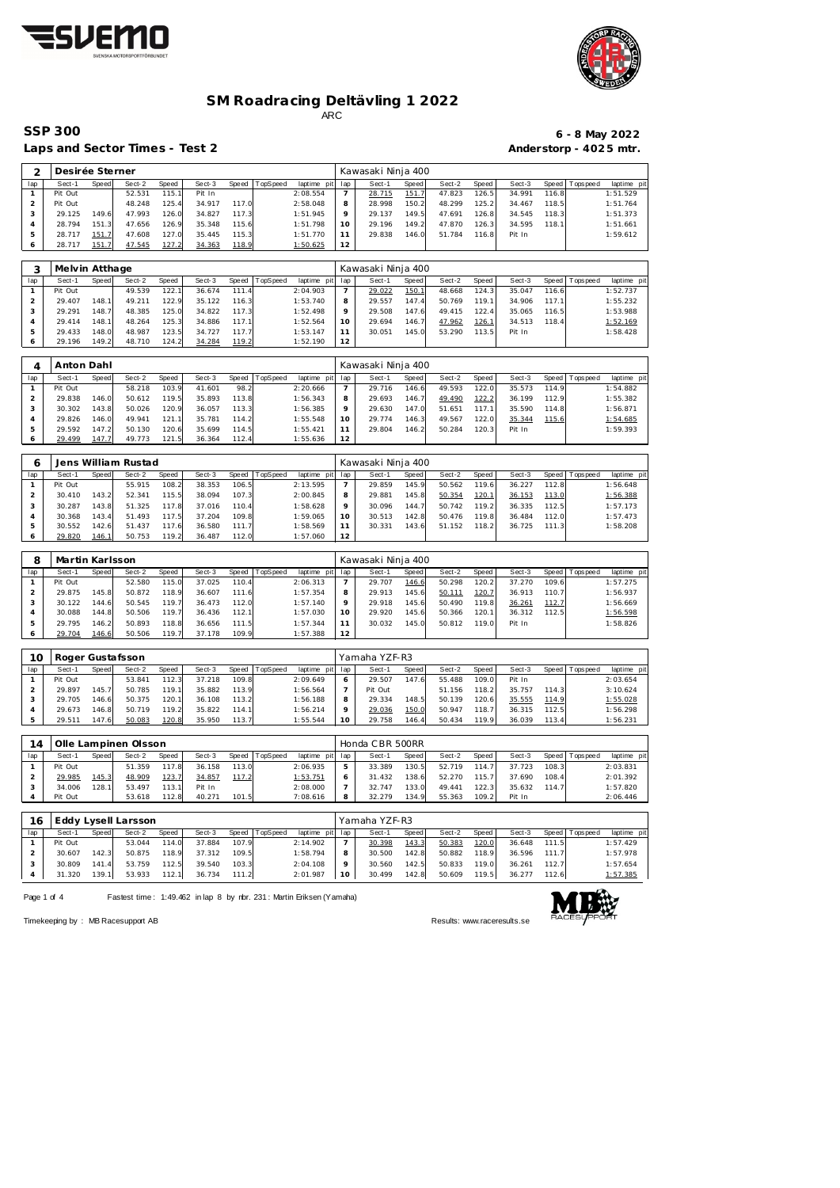



## **SM Roadracing Deltävling 1 2022** ARC

Laps and Sector Times - Test 2 **Anderstorp - 4025 mtr.** 

# **SSP 300 6 - 8 May 2022**

| $\overline{2}$ | Desirée Sterner |       |        |       |        |       |          |             |                 | Kawasaki Ninja 400 |       |        |       |        |       |                 |            |
|----------------|-----------------|-------|--------|-------|--------|-------|----------|-------------|-----------------|--------------------|-------|--------|-------|--------|-------|-----------------|------------|
| lap            | Sect-1          | Speed | Sect-2 | Speed | Sect-3 | Speed | TopSpeed | laptime pit | lap             | Sect-1             | Speed | Sect-2 | Speed | Sect-3 | Speed | <b>Topspeed</b> | laptime pi |
|                | Pit Out         |       | 52.531 | 115.1 | Pit In |       |          | 2:08.554    | $\overline{7}$  | 28.715             | 151.7 | 47.823 | 126.5 | 34.991 | 116.8 |                 | 1:51.529   |
| 2              | Pit Out         |       | 48.248 | 125.4 | 34.917 | 117.0 |          | 2:58.048    | 8               | 28.998             | 150.2 | 48.299 | 125.2 | 34.467 | 118.5 |                 | 1:51.764   |
| 3              | 29.125          | 149.6 | 47.993 | 126.0 | 34.827 | 117.3 |          | 1:51.945    | 9               | 29.137             | 149.5 | 47.691 | 126.8 | 34.545 | 118.3 |                 | 1:51.373   |
| $\overline{A}$ | 28.794          | 151.3 | 47.656 | 126.9 | 35.348 | 115.6 |          | 1:51.798    | 10              | 29.196             | 149.2 | 47.870 | 126.3 | 34.595 | 118.1 |                 | 1:51.661   |
| 5              | 28.717          | 151.7 | 47.608 | 127.0 | 35.445 | 115.3 |          | 1:51.770    | 11              | 29.838             | 146.0 | 51.784 | 116.8 | Pit In |       |                 | 1:59.612   |
| 6              | 28.717          | 151.7 | 47.545 | 127.2 | 34.363 | 118.9 |          | 1:50.625    | 12              |                    |       |        |       |        |       |                 |            |
|                |                 |       |        |       |        |       |          |             |                 |                    |       |        |       |        |       |                 |            |
| 3              | Melvin Atthage  |       |        |       |        |       |          |             |                 | Kawasaki Ninja 400 |       |        |       |        |       |                 |            |
| lap            | Sect-1          | Speed | Sect-2 | Speed | Sect-3 | Speed | TopSpeed | laptime pit | lap             | Sect-1             | Speed | Sect-2 | Speed | Sect-3 | Speed | T ops pee d     | laptime pi |
|                | Pit Out         |       | 49.539 | 122.1 | 36.674 | 111.4 |          | 2:04.903    | $\overline{7}$  | 29.022             | 150.1 | 48.668 | 124.3 | 35.047 | 116.6 |                 | 1:52.737   |
| $\overline{2}$ | 29.407          | 148.1 | 49.211 | 122.9 | 35.122 | 116.3 |          | 1:53.740    | 8               | 29.557             | 147.4 | 50.769 | 119.1 | 34.906 | 117.1 |                 | 1:55.232   |
| 3              | 29.291          | 148.7 | 48.385 | 125.0 | 34.822 | 117.3 |          | 1:52.498    | 9               | 29.508             | 147.6 | 49.415 | 122.4 | 35.065 | 116.5 |                 | 1:53.988   |
| $\overline{A}$ | 29.414          | 148.1 | 48.264 | 125.3 | 34.886 | 117.1 |          | 1:52.564    | 10              | 29.694             | 146.7 | 47.962 | 126.1 | 34.513 | 118.4 |                 | 1:52.169   |
| 5              | 29.433          | 148.0 | 48.987 | 123.5 | 34.727 | 117.7 |          | 1:53.147    | 11              | 30.051             | 145.0 | 53.290 | 113.5 | Pit In |       |                 | 1:58.428   |
| 6              | 29.196          | 149.2 | 48.710 | 124.2 | 34.284 | 119.2 |          | 1:52.190    | 12 <sup>2</sup> |                    |       |        |       |        |       |                 |            |
|                |                 |       |        |       |        |       |          |             |                 |                    |       |        |       |        |       |                 |            |
| 4              | Anton Dahl      |       |        |       |        |       |          |             |                 | Kawasaki Ninja 400 |       |        |       |        |       |                 |            |
| lap            | Sect-1          | Speed | Sect-2 | Speed | Sect-3 | Speed | TopSpeed | laptime pit | lap             | Sect-1             | Speed | Sect-2 | Speed | Sect-3 | Speed | Topspeed        | laptime pi |
|                | Pit Out         |       | 58.218 | 103.9 | 41.601 | 98.2  |          | 2:20.666    | $\overline{7}$  | 29.716             | 146.6 | 49.593 | 122.0 | 35.573 | 114.9 |                 | 1:54.882   |
| $\overline{a}$ | 29.838          | 146.0 | 50.612 | 119.5 | 35.893 | 113.8 |          | 1:56.343    | 8               | 29.693             | 146.7 | 49.490 | 122.2 | 36.199 | 112.9 |                 | 1:55.382   |
| 3              | 30.302          | 143.8 | 50.026 | 120.9 | 36.057 | 113.3 |          | 1:56.385    | $\circ$         | 29.630             | 147.0 | 51.651 | 117.1 | 35.590 | 114.8 |                 | 1:56.871   |
| $\overline{4}$ | 29.826          | 146.0 | 49.941 | 121.1 | 35.781 | 114.2 |          | 1:55.548    | 10 <sup>°</sup> | 29.774             | 146.3 | 49.567 | 122.0 | 35.344 | 115.6 |                 | 1:54.685   |
| 5              | 29.592          | 147.2 | 50.130 | 120.6 | 35.699 | 114.5 |          | 1:55.421    | 11              | 29.804             | 146.2 | 50.284 | 120.3 | Pit In |       |                 | 1:59.393   |
|                |                 |       |        |       |        |       |          |             |                 |                    |       |        |       |        |       |                 |            |

| 6   |         |       | Jens William Rustad |       |        |       |                |             |     | Kawasaki Ninja 400 |       |        |       |        |        |                 |             |
|-----|---------|-------|---------------------|-------|--------|-------|----------------|-------------|-----|--------------------|-------|--------|-------|--------|--------|-----------------|-------------|
| lap | Sect-1  | Speed | Sect-2              | Speed | Sect-3 |       | Speed TopSpeed | laptime pit | lap | Sect-1             | Speed | Sect-2 | Speed | Sect-3 |        | Speed Tops peed | laptime pit |
|     | Pit Out |       | 55.915              | 108.2 | 38.353 | 106.5 |                | 2:13.595    |     | 29.859             | 145.9 | 50.562 | 119.6 | 36.227 | 112.81 |                 | 1:56.648    |
|     | 30.410  | 143.2 | 52.341              | 115.5 | 38.094 | 107.3 |                | 2:00.845    | 8   | 29.881             | 145.8 | 50.354 | 120.1 | 36.153 | 113.0  |                 | 1:56.388    |
|     | 30.287  | 143.8 | 51.325              | 117.8 | 37.016 | 110.4 |                | 1:58.628    | Q   | 30.096             | 144.7 | 50.742 | 119.2 | 36.335 | 112.5  |                 | 1:57.173    |
|     | 30.368  | 143.4 | 51.493              | 117.5 | 37.204 | 109.8 |                | 1:59.065    | 10  | 30.513             | 142.8 | 50.476 | 119.8 | 36.484 | 112.0  |                 | 1:57.473    |
|     | 30.552  | 142.6 | 51.437              | 117.6 | 36.580 | 111.7 |                | 1:58.569    | 11  | 30.331             | 143.6 | 51.152 | 118.2 | 36.725 | 111.3  |                 | 1:58.208    |
|     | 29.820  | 146.1 | 50.753              | 119.2 | 36.487 | 112.0 |                | 1:57.060    | 12  |                    |       |        |       |        |        |                 |             |

| 8              | Martin Karlsson |       |        |       |        |       |                |                 |         | Kawasaki Ninja 400 |       |        |               |        |       |                |             |
|----------------|-----------------|-------|--------|-------|--------|-------|----------------|-----------------|---------|--------------------|-------|--------|---------------|--------|-------|----------------|-------------|
| lap            | Sect-1          | Speed | Sect-2 | Speed | Sect-3 |       | Speed TopSpeed | laptime pit lap |         | Sect-1             | Speed | Sect-2 | Speed         | Sect-3 |       | Speed Topspeed | laptime pit |
|                | Pit Out         |       | 52.580 | 115.0 | 37.025 | 110.4 |                | 2:06.313        |         | 29.707             | 146.6 | 50.298 | 120.2         | 37.270 | 109.6 |                | 1:57.275    |
|                | 29.875          | 145.8 | 50.872 | 118.9 | 36.607 | 111.6 |                | 1:57.354        | 8       | 29.913             | 145.6 | 50.111 | <u> 120.7</u> | 36.913 | 110.7 |                | 1:56.937    |
|                | 30.122          | 144.6 | 50.545 | 119.7 | 36.473 | 112.0 |                | 1:57.140        | $\circ$ | 29.918             | 145.6 | 50.490 | 119.8         | 36.261 | 112.7 |                | 1:56.669    |
| $\overline{A}$ | 30.088          | 144.8 | 50.506 | 119.7 | 36.436 | 112.1 |                | 1:57.030        | 10      | 29.920             | 145.6 | 50.366 | 120.1         | 36.312 | 112.5 |                | 1:56.598    |
|                | 29.795          | 146.2 | 50.893 | 118.8 | 36.656 | 111.5 |                | 1:57.344        | 11      | 30.032             | 145.0 | 50.812 | 119.0         | Pit In |       |                | 1:58.826    |
|                | 29.704          | 146.6 | 50.506 | 119.7 | 37.178 | 109.9 |                | 1:57.388        | 12      |                    |       |        |               |        |       |                |             |

| 10  |         |       | Roger Gustafsson |       |        |       |                  |                |     | Yamaha YZF-R3 |              |        |       |        |       |                   |             |
|-----|---------|-------|------------------|-------|--------|-------|------------------|----------------|-----|---------------|--------------|--------|-------|--------|-------|-------------------|-------------|
| lap | Sect-1  | Speed | Sect-2           | Speed | Sect-3 |       | Speed   TopSpeed | laptime<br>pit | lap | Sect-1        | <b>Speed</b> | Sect-2 | Speed | Sect-3 |       | Speed   Tops peed | laptime pit |
|     | Pit Out |       | 53.841           | 112.3 | 37.218 | 109.8 |                  | 2:09.649       | 6   | 29.507        | 147.6        | 55.488 | 109.0 | Pit In |       |                   | 2:03.654    |
|     | 29.897  | 145.7 | 50.785           | 119.1 | 35.882 | 113.9 |                  | 1:56.564       |     | Pit Out       |              | 51.156 | 118.2 | 35.757 | 114.3 |                   | 3:10.624    |
|     | 29.705  | 146.6 | 50.375           | 120.1 | 36.108 | 113.2 |                  | 1:56.188       | 8   | 29.334        | 148.5        | 50.139 | 120.6 | 35.555 | 114.9 |                   | 1:55.028    |
|     | 29.673  | 146.8 | 50.719           | 119.2 | 35.822 | 114.1 |                  | 1:56.214       | Q   | 29.036        | 150.0        | 50.947 | 118.7 | 36.315 | 112.5 |                   | 1:56.298    |
|     | 29.511  | 147.6 | 50.083           | 120.8 | 35.950 | 113.7 |                  | 1:55.544       | 10  | 29.758        | 146.4        | 50.434 | 119.9 | 36.039 | 113.4 |                   | 1:56.231    |

| $\overline{A}$ |         |       | Olle Lampinen Olsson |        |        |       |          |                 | Honda CBR 500RR |              |        |       |        |       |                 |             |
|----------------|---------|-------|----------------------|--------|--------|-------|----------|-----------------|-----------------|--------------|--------|-------|--------|-------|-----------------|-------------|
| lap            | Sect-1  | Speed | Sect-2               | Speed  | Sect-3 | Speed | TopSpeed | laptime pit lap | Sect-1          | <b>Speed</b> | Sect-2 | Speed | Sect-3 |       | Speed Tops peed | laptime pit |
|                | Pit Out |       | 51.359               | 117.8  | 36.158 | 113.0 |          | 2:06.935        | 33.389          | 130.5        | 52.719 | 114.7 | 37.723 | 108.3 |                 | 2:03.831    |
|                | 29.985  | 145.3 | 48.909               | 123.7  | 34.857 | 117.2 |          | 1:53.751        | 31.432          | 138.6        | 52.270 | 115.7 | 37.690 | 108.4 |                 | 2:01.392    |
|                | 34.006  | 128.1 | 53.497               | 113.11 | Pit In |       |          | 2:08.000        | 32.747          | 133.0        | 49.441 | 122.3 | 35.632 | 114.7 |                 | 1:57.820    |
|                | Pit Out |       | 53.618               | 112.8  | 40.271 | 101.5 |          | 7:08.616        | 32.279          | 134.9        | 55.363 | 109.2 | Pit In |       |                 | 2:06.446    |

| 16  |         |       | Eddy Lysell Larsson |       |        |       |                |                 |          | Yamaha YZF-R3 |       |        |       |        |       |                   |             |
|-----|---------|-------|---------------------|-------|--------|-------|----------------|-----------------|----------|---------------|-------|--------|-------|--------|-------|-------------------|-------------|
| lap | Sect-1  | Speed | Sect-2              | Speed | Sect-3 |       | Speed TopSpeed | laptime pit lap |          | Sect-1        | Speed | Sect-2 | Speed | Sect-3 |       | Speed   Tops peed | laptime pit |
|     | Pit Out |       | 53.044              | 114.0 | 37.884 | 107.9 |                | 2:14.902        |          | 30.398        | 143.3 | 50.383 | 120.0 | 36.648 | 111.5 |                   | 1:57.429    |
|     | 30.607  | 142.3 | 50.875              | 118.9 | 37.312 | 109.5 |                | 1:58.794        | 8        | 30.500        | 142.8 | 50.882 | 118.9 | 36.596 | 111.7 |                   | 1:57.978    |
|     | 30.809  | 141.4 | 53.759              | 112.5 | 39.540 | 103.3 |                | 2:04.108        | $\Omega$ | 30.560        | 142.5 | 50.833 | 119.0 | 36.261 | 112.7 |                   | 1:57.654    |
|     | 31.320  | 139.1 | 53.933              | 112.1 | 36.734 | 111.2 |                | 2:01.987        | 10       | 30.499        | 142.8 | 50.609 | 119.5 | 36.277 | 112.6 |                   | 1:57.385    |

Page 1 of 4 Fastest time: 1:49.462 in lap 8 by nbr. 231: Martin Eriksen (Yamaha)

29.499 147.7 49.773 121.5 36.364 112.4 1:55.636



Timekeeping by : MB Racesupport AB **Results:<www.raceresults.se>**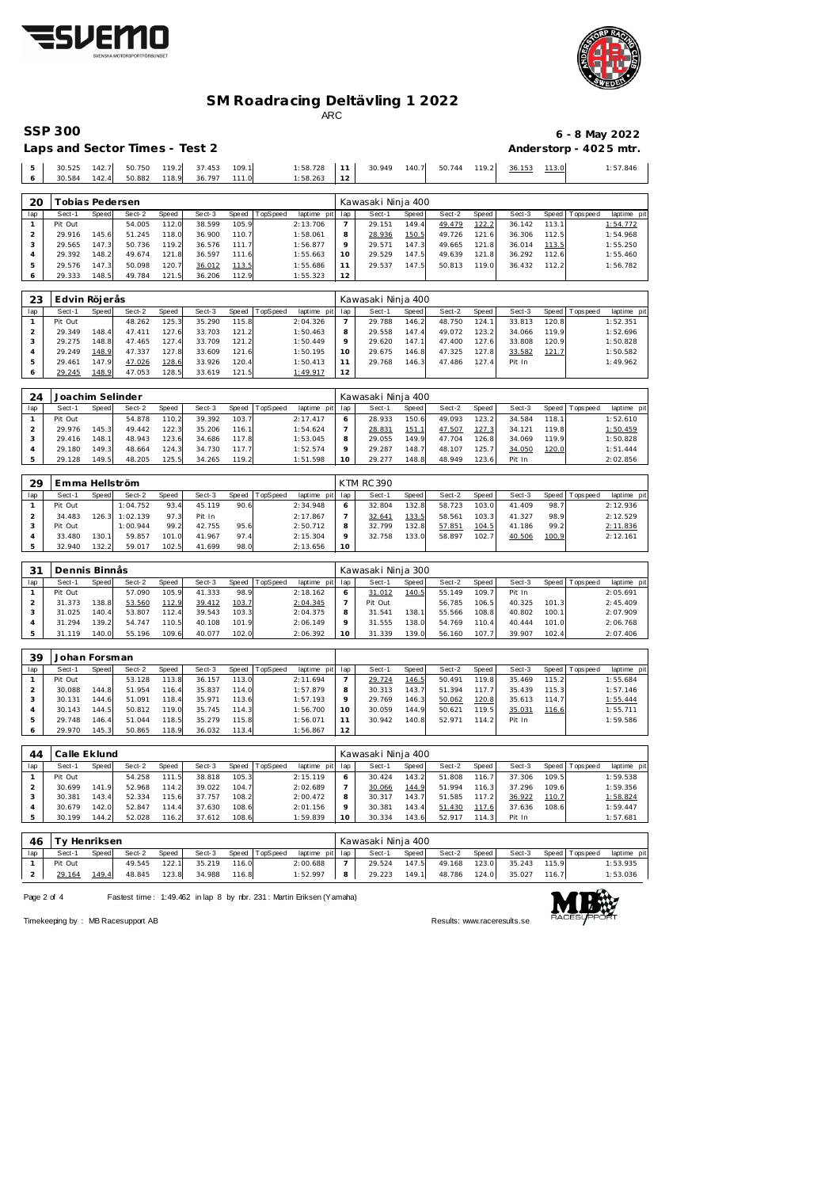



# **SM Roadracing Deltävling 1 2022**

ARC

| <b>SSP 300</b>                 | 6 - 8 May 2022         |
|--------------------------------|------------------------|
| Laps and Sector Times - Test 2 | Anderstorp - 4025 mtr. |

| 20 |        | Tobias Pedersen |        |       |        |       |          |     | Kawasaki Ninja 400 |       |        |       |        |       |          |
|----|--------|-----------------|--------|-------|--------|-------|----------|-----|--------------------|-------|--------|-------|--------|-------|----------|
|    |        |                 |        |       |        |       |          |     |                    |       |        |       |        |       |          |
|    | 30.584 | 142.4           | 50.882 | 118.9 | 36.797 | 111.0 | 1:58.263 | 1 C |                    |       |        |       |        |       |          |
|    | 30.525 | 142.7           | 50.750 | 119.2 | 37.453 | 109.1 | 1:58.728 |     | 30.949             | 140.7 | 50.744 | 119.2 | 36.153 | 113.0 | 1:57.846 |

| iav | əeci-i  | <b>SDEED</b> | Sect-Z | <b>SDE EQ</b> | əect-ə | opeeg | i upo pee u | iapune piu iap |    | əeci-  | opeeg | oeci-∠ | SDE BUIL | oeci-s | SDE BUIL | l ODS Dee G | laptime pit |
|-----|---------|--------------|--------|---------------|--------|-------|-------------|----------------|----|--------|-------|--------|----------|--------|----------|-------------|-------------|
|     | Pit Out |              | 54.005 | 112.0         | 38.599 | 105.9 |             | 2:13.706       |    | 29.151 | 149.4 | 49.479 | 122.2    | 36.142 | 113.1    |             | 1:54.772    |
|     | 29.916  | 145.6        | 51.245 | 118.0         | 36.900 | 110.7 |             | 1:58.061       |    | 28.936 | 150.5 | 49.726 | 121      | 36.306 | 112.5    |             | 1:54.968    |
|     | 29.565  | 147.3        | 50.736 | 119.2         | 36.576 | 111.7 |             | 1:56.877       |    | 29.571 | 147.3 | 49.665 | 121.8    | 36.014 | 113.5    |             | 1:55.250    |
|     | 29.392  | 148.2        | 49.674 | 121.8         | 36.597 | 111.6 |             | 1:55.663       |    | 29.529 | 147.5 | 49.639 | 121.8    | 36.292 | 112.6    |             | 1:55.460    |
|     | 29.576  | 147.3        | 50.098 | 120.7         | 36.012 | 113.5 |             | 1:55.686       |    | 29.537 | 147.5 | 50.813 | 119.0    | 36.432 | 112.2    |             | 1:56.782    |
|     | 29.333  | 148.5        | 49.784 | 121.51        | 36.206 | 112.9 |             | 1:55.323       | 12 |        |       |        |          |        |          |             |             |

| 23  | Edvin Röjerås |       |        |       |        |       |          |                 |         | Kawasaki Ninja 400 |       |        |       |        |              |                 |             |
|-----|---------------|-------|--------|-------|--------|-------|----------|-----------------|---------|--------------------|-------|--------|-------|--------|--------------|-----------------|-------------|
| lap | Sect-1        | Speed | Sect-2 | Speed | Sect-3 | Speed | TopSpeed | laptime<br>pitl | lap     | Sect-1             | Speed | Sect-2 | Speed | Sect-3 |              | Speed Tops peed | laptime pit |
|     | Pit Out       |       | 48.262 | 125.3 | 35.290 | 115.8 |          | 2:04.326        |         | 29.788             | 146.2 | 48.750 | 124.1 | 33.813 | 120.8        |                 | 1:52.351    |
|     | 29.349        | 148.4 | 47.411 | 127.6 | 33.703 | 121.2 |          | 1:50.463        | 8       | 29.558             | 147.4 | 49.072 | 123.2 | 34.066 | 119.9        |                 | 1:52.696    |
|     | 29.275        | 148.8 | 47.465 | 127.4 | 33.709 | 121.2 |          | 1:50.449        | $\circ$ | 29.620             | 147.1 | 47.400 | 127.6 | 33.808 | 120.9        |                 | 1:50.828    |
| 4   | 29.249        | 148.9 | 47.337 | 127.8 | 33.609 | 121.6 |          | 1:50.195        | 10      | 29.675             | 146.8 | 47.325 | 127.8 | 33.582 | <u>121.7</u> |                 | 1:50.582    |
|     | 29.461        | 147.9 | 47.026 | 128.6 | 33.926 | 120.4 |          | 1:50.413        |         | 29.768             | 146.3 | 47.486 | 127.4 | Pit In |              |                 | 1:49.962    |
|     | 29.245        | 148.9 | 47.053 | 128.5 | 33.619 | 121.5 |          | 1:49.917        | 12      |                    |       |        |       |        |              |                 |             |

| 24  | Joachim Selinder |       |        |       |        |       |                 |                |     | Kawasaki Ninja 400 |       |        |       |        |       |                 |             |
|-----|------------------|-------|--------|-------|--------|-------|-----------------|----------------|-----|--------------------|-------|--------|-------|--------|-------|-----------------|-------------|
| lap | Sect-1           | Speed | Sect-2 | Speed | Sect-3 | Speed | <b>TopSpeed</b> | laptime<br>pit | lap | Sect-1             | Speed | Sect-2 | Speed | Sect-3 |       | Speed Tops peed | laptime pit |
|     | Pit Out          |       | 54.878 | 110.2 | 39.392 | 103.7 |                 | 2:17.417       |     | 28.933             | 150.6 | 49.093 | 123.2 | 34.584 | 118.1 |                 | 1:52.610    |
|     | 29.976           | 145.3 | 49.442 | 122.3 | 35.206 | 116.1 |                 | 1:54.624       |     | 28.831             | 151   | 47.507 | 127.3 | 34.121 | 119.8 |                 | 1:50.459    |
|     | 29.416           | 148.1 | 48.943 | 123.6 | 34.686 | 117.8 |                 | 1:53.045       | 8   | 29.055             | 149.9 | 47.704 | 126.8 | 34.069 | 119.9 |                 | 1:50.828    |
|     | 29.180           | 149.3 | 48.664 | 124.3 | 34.730 | 117.7 |                 | 1:52.574       |     | 29.287             | 148.7 | 48.107 | 125.7 | 34.050 | 120.0 |                 | 1:51.444    |
|     | 29.128           | 149.5 | 48.205 | 125.5 | 34.265 | 119.2 |                 | 1:51.598       |     | 29.277             | 148.8 | 48.949 | 123.6 | Pit In |       |                 | 2:02.856    |

| 29  | Emma Hellström |       |                |       |        |      |                |                 |         | <b>KTM RC 390</b> |       |        |       |        |       |                 |             |
|-----|----------------|-------|----------------|-------|--------|------|----------------|-----------------|---------|-------------------|-------|--------|-------|--------|-------|-----------------|-------------|
| lap | Sect-1         | Speed | Sect-2         | Speed | Sect-3 |      | Speed TopSpeed | laptime pit lap |         | Sect-1            | Speed | Sect-2 | Speed | Sect-3 |       | Speed Tops peed | laptime pit |
|     | Pit Out        |       | 1:04.752       | 93.4  | 45.119 | 90.6 |                | 2:34.948        | 6       | 32.804            | 132.8 | 58.723 | 103.0 | 41.409 | 98.7  |                 | 2:12.936    |
|     | 34.483         |       | 126.3 1:02.139 | 97.3  | Pit In |      |                | 2:17.867        |         | 32.641            | 133.5 | 58.561 | 103.3 | 41.327 | 98.9  |                 | 2:12.529    |
|     | Pit Out        |       | 1:00.944       | 99.2  | 42.755 | 95.6 |                | 2:50.712        | 8       | 32.799            | 132.8 | 57.851 | 104.5 | 41.186 | 99.2  |                 | 2:11.836    |
|     | 33.480         | 130.1 | 59.857         | 101.0 | 41.967 | 97.4 |                | 2:15.304        | $\circ$ | 32.758            | 133.0 | 58.897 | 102.7 | 40.506 | 100.9 |                 | 2:12.161    |
|     | 32.940         | 132.2 | 59.017         | 102.5 | 41.699 | 98.0 |                | 2:13.656        | 10      |                   |       |        |       |        |       |                 |             |

| 31  | Dennis Binnås |       |        |       |        |       |          |                |         | Kawasaki Ninja 300 |       |        |        |        |       |                |             |
|-----|---------------|-------|--------|-------|--------|-------|----------|----------------|---------|--------------------|-------|--------|--------|--------|-------|----------------|-------------|
| lap | Sect-1        | Speed | Sect-2 | Speed | Sect-3 | Speed | TopSpeed | laptime<br>pit | lap     | Sect-1             | Speed | Sect-2 | Speed  | Sect-3 |       | Speed Topspeed | laptime pit |
|     | Pit Out       |       | 57.090 | 105.9 | 41.333 | 98.9  |          | 2:18.162       |         | 31.012             | 140.5 | 55.149 | 109.7  | Pit In |       |                | 2:05.691    |
|     | 31.373        | 138.8 | 53.560 | 112.9 | 39.412 | 103.7 |          | 2:04.345       |         | Pit Out            |       | 56.785 | 106.5  | 40.325 | 101.3 |                | 2:45.409    |
|     | 31.025        | 140.4 | 53.807 | 112.4 | 39.543 | 103.3 |          | 2:04.375       | 8       | 31.541             | 138.7 | 55.566 | 108.8  | 40.802 | 100.1 |                | 2:07.909    |
|     | 31.294        | 139.2 | 54.747 | 110.5 | 40.108 | 101.9 |          | 2:06.149       | $\circ$ | 31.555             | 138.0 | 54.769 | 110.41 | 40.444 | 101.0 |                | 2:06.768    |
|     | .119<br>31.   | 140.0 | 55.196 | 109.6 | 40.077 | 102.0 |          | 2:06.392       | 10      | 31.339             | 139.0 | 56.160 | 107.7  | 39.907 | 102.4 |                | 2:07.406    |

| 39  | Johan Forsman |       |        |       |        |       |          |                 |         |        |       |        |       |        |       |                 |             |
|-----|---------------|-------|--------|-------|--------|-------|----------|-----------------|---------|--------|-------|--------|-------|--------|-------|-----------------|-------------|
| lap | Sect-1        | Speed | Sect-2 | Speed | Sect-3 | Speed | TopSpeed | laptime pit lap |         | Sect-1 | Speed | Sect-2 | Speed | Sect-3 |       | Speed Tops peed | laptime pit |
|     | Pit Out       |       | 53.128 | 113.8 | 36.157 | 113.0 |          | 2:11.694        |         | 29.724 | 146.5 | 50.491 | 119.8 | 35.469 | 115.2 |                 | 1:55.684    |
|     | 30.088        | 144.8 | 51.954 | 116.4 | 35.837 | 114.0 |          | 1:57.879        | 8       | 30.313 | 143.7 | 51.394 | 117.7 | 35.439 | 115.3 |                 | 1:57.146    |
|     | 30.131        | 144.6 | 51.091 | 118.4 | 35.971 | 113.6 |          | 1:57.193        | $\circ$ | 29.769 | 146.3 | 50.062 | 120.8 | 35.613 | 114.7 |                 | 1:55.444    |
|     | 30.143        | 144.5 | 50.812 | 119.0 | 35.745 | 114.3 |          | 1:56.700        | 10      | 30.059 | 144.9 | 50.621 | 119.5 | 35.031 | 116.6 |                 | 1:55.711    |
|     | 29.748        | 146.4 | 51.044 | 118.5 | 35.279 | 115.8 |          | 1:56.071        | 11      | 30.942 | 140.8 | 52.971 | 114.2 | Pit In |       |                 | 1:59.586    |
|     | 29.970        | 145.3 | 50.865 | 118.9 | 36.032 | 113.4 |          | 1:56.867        | 12      |        |       |        |       |        |       |                 |             |

| 44  | Calle Eklund |       |        |       |        |       |          |                 |    | Kawasaki Ninja 400 |       |        |       |        |       |                 |             |
|-----|--------------|-------|--------|-------|--------|-------|----------|-----------------|----|--------------------|-------|--------|-------|--------|-------|-----------------|-------------|
| lap | Sect-1       | Speed | Sect-2 | Speed | Sect-3 | Speed | TopSpeed | laptime pit lap |    | Sect-1             | Speed | Sect-2 | Speed | Sect-3 |       | Speed Tops peed | laptime pit |
|     | Pit Out      |       | 54.258 | 111.5 | 38.818 | 105.3 |          | 2:15.119        |    | 30.424             | 143.2 | 51.808 | 116.7 | 37.306 | 109.5 |                 | 1:59.538    |
|     | 30.699       | 141.9 | 52.968 | 114.2 | 39.022 | 104.7 |          | 2:02.689        |    | 30.066             | 144.9 | 51.994 | 116.3 | 37.296 | 109.6 |                 | 1:59.356    |
|     | 30.381       | 143.4 | 52.334 | 115.6 | 37.757 | 108.2 |          | 2:00.472        | 8  | 30.317             | 143.7 | 51.585 | 117.2 | 36.922 | 110.7 |                 | 1:58.824    |
|     | 30.679       | 142.0 | 52.847 | 114.4 | 37.630 | 108.6 |          | 2:01.156        |    | 30.381             | 143.4 | 51.430 | 117.6 | 37.636 | 108.6 |                 | 1:59.447    |
|     | 30.199       | 144.2 | 52.028 | 116.2 | 37.612 | 108.6 |          | 1:59.839        | 10 | 30.334             | 143.6 | 52.917 | 114.3 | Pit In |       |                 | 1:57.681    |
|     |              |       |        |       |        |       |          |                 |    |                    |       |        |       |        |       |                 |             |

| 46  | Ty Henriksen |       |        |       |        |       |                |                 | Kawasaki Ninja 400 |         |        |         |        |       |                 |             |
|-----|--------------|-------|--------|-------|--------|-------|----------------|-----------------|--------------------|---------|--------|---------|--------|-------|-----------------|-------------|
| lap | Sect-1       | Speed | Sect-2 | Speed | Sect-3 |       | Speed TopSpeed | laptime pit lap | Sect-1             | Speed I | Sect-2 | Speed I | Sect-3 |       | Speed Tops peed | laptime pit |
|     | Pit Out      |       | 49.545 | 122.1 | 35.219 | 116.0 |                | 2:00.688        | 29.524             | 147.5   | 49.168 | 123.0   | 35.243 | 115.9 |                 | 1:53.935    |
|     | 29.164       | 149.4 | 48.845 | 123.8 | 34.988 | 116.8 |                | 1:52.997        | 29.223             | 149.1   | 48.786 | 124.0   | 35.027 | 116.7 |                 | 1:53.036    |
|     |              |       |        |       |        |       |                |                 |                    |         |        |         |        |       |                 |             |

Page 2 of 4 Fastest time: 1:49.462 in lap 8 by rbr. 231: Martin Eriksen (Yamaha)



Timekeeping by : MB Racesupport AB Results:<www.raceresults.se>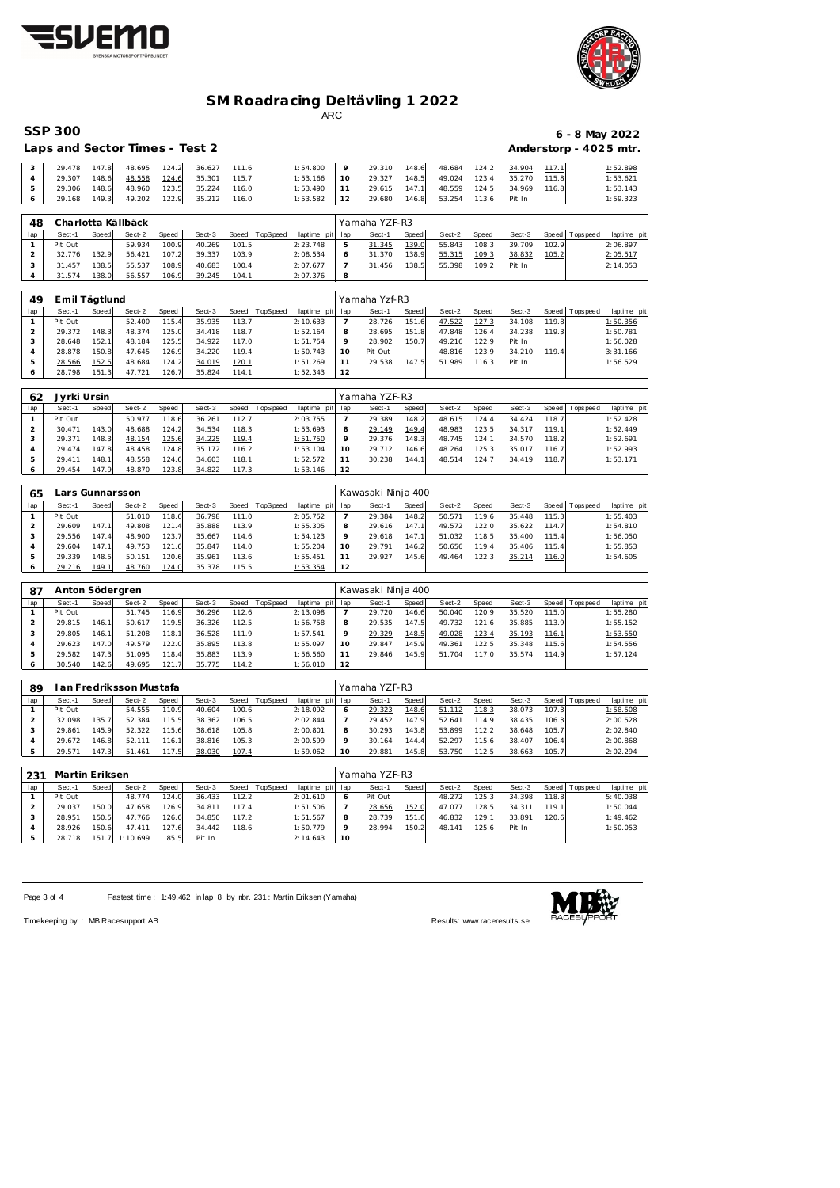



### **SM Roadracing Deltävling 1 2022** ARC

| <b>SSP 300</b>                 | 6 - 8 May 2022         |
|--------------------------------|------------------------|
| Lans and Sector Times - Test 2 | Anderstorn $.4025$ mtr |

|    | Laps and Sector Times - Test 2 |       |                           |                     |       |                 |                                                     |       |              |                           | Anderstorp - 4025 mtr. |
|----|--------------------------------|-------|---------------------------|---------------------|-------|-----------------|-----------------------------------------------------|-------|--------------|---------------------------|------------------------|
|    | 29.478 147.8                   |       | 48.695 124.2 36.627 111.6 |                     |       |                 | $1:54.800$ 9 29.310 148.6 48.684 124.2 34.904 117.1 |       |              |                           | 1:52.898               |
|    | 29.307                         | 148.6 |                           | 48.558 124.6 35.301 | 115.7 | $1:53.166$ 10   | 29.327                                              | 148.5 | 49.024 123.4 | 35.270 115.8              | 1:53.621               |
| 5. | 29.306                         | 148.6 | 48.960                    | 123.5 35.224        | 116.0 | $1:53.490$ 11   | 29.615 147.1                                        |       |              | 48.559 124.5 34.969 116.8 | 1:53.143               |
|    | 29.168                         | 149.3 |                           | 49.202 122.9 35.212 | 116.0 | $1:53.582$   12 | 29.680 146.8                                        |       | 53.254       | 113.6 Pit In              | 1:59.323               |

| 48  |         |       | Charlotta Källbäck |       |        |       |                |                 |   | Yamaha YZF-R3 |              |        |       |        |       |                 |             |
|-----|---------|-------|--------------------|-------|--------|-------|----------------|-----------------|---|---------------|--------------|--------|-------|--------|-------|-----------------|-------------|
| lap | Sect-1  | Speed | Sect-2             | Speed | Sect-3 |       | Speed TopSpeed | laptime pit lap |   | Sect-1        | <b>Speed</b> | Sect-2 | Speed | Sect-3 |       | Speed Tops peed | laptime pit |
|     | Pit Out |       | 59.934             | 100.9 | 40.269 | 101.5 |                | 2:23.748        | 5 | 31.345        | 139.0        | 55.843 | 108.3 | 39.709 | 102.9 |                 | 2:06.897    |
|     | 32.776  | 132.9 | 56.421             | 107.2 | 39.337 | 103.9 |                | 2:08.534        | 6 | 31.370        | 138.9        | 55.315 | 109.3 | 38.832 | 105.2 |                 | 2:05.517    |
|     | 31.457  | 138.5 | 55.537             | 108.9 | 40.683 | 100.4 |                | 2:07.677        |   | 31.456        | 138.51       | 55.398 | 109.2 | Pit In |       |                 | 2:14.053    |
|     | 31.574  | 138.0 | 56.557             | 106.9 | 39.245 | 104.1 |                | 2:07.376        | 8 |               |              |        |       |        |       |                 |             |

| 49  | Emil Tägtlund |       |        |       |        |       |          |                |     | Yamaha Yzf-R3 |       |        |       |        |       |                 |             |
|-----|---------------|-------|--------|-------|--------|-------|----------|----------------|-----|---------------|-------|--------|-------|--------|-------|-----------------|-------------|
| lap | Sect-1        | Speed | Sect-2 | Speed | Sect-3 | Speed | TopSpeed | laptime<br>pit | lap | Sect-1        | Speed | Sect-2 | Speed | Sect-3 |       | Speed Tops peed | laptime pit |
|     | Pit Out       |       | 52.400 | 115.4 | 35.935 | 113.7 |          | 2:10.633       |     | 28.726        | 151.6 | 47.522 | 127.3 | 34.108 | 119.8 |                 | 1:50.356    |
|     | 29.372        | 148.3 | 48.374 | 125.0 | 34.418 | 118.7 |          | 1:52.164       | 8   | 28.695        | 151.8 | 47.848 | 126.4 | 34.238 | 119.3 |                 | 1:50.781    |
|     | 28.648        | 152.1 | 48.184 | 125.5 | 34.922 | 117.0 |          | 1:51.754       |     | 28.902        | 150.7 | 49.216 | 122.9 | Pit In |       |                 | 1:56.028    |
|     | 28.878        | 150.8 | 47.645 | 126.9 | 34.220 | 119.4 |          | 1:50.743       | 10  | Pit Out       |       | 48.816 | 123.9 | 34.210 | 119.4 |                 | 3:31.166    |
|     | 28.566        | 152.5 | 48.684 | 124.2 | 34.019 | 120.1 |          | 1:51.269       |     | 29.538        | 147.5 | 51.989 | 116.3 | Pit In |       |                 | 1:56.529    |
|     | 28.798        | 151.3 | 47.721 | 126.7 | 35.824 | 114.1 |          | 1:52.343       | 12  |               |       |        |       |        |       |                 |             |

| 62  | Jyrki Ursin |       |        |       |        |       |         |             |     | Yamaha YZF-R3 |       |        |        |        |       |           |             |
|-----|-------------|-------|--------|-------|--------|-------|---------|-------------|-----|---------------|-------|--------|--------|--------|-------|-----------|-------------|
| lap | Sect-1      | Speed | Sect-2 | Speed | Sect-3 | Speed | opSpeed | laptime pit | lap | Sect-1        | Speed | Sect-2 | Speed  | Sect-3 | Speed | Tops peed | laptime pit |
|     | Pit Out     |       | 50.977 | 118.6 | 36.261 | 112.7 |         | 2:03.755    |     | 29.389        | 148.2 | 48.615 | 124.4  | 34.424 | 118.7 |           | 1:52.428    |
|     | 30.471      | 143.0 | 48.688 | 124.2 | 34.534 | 118.3 |         | 1:53.693    |     | 29.149        | 149.4 | 48.983 | 123.5  | 34.317 | 119.1 |           | 1:52.449    |
| - 0 | 29.371      | 148.3 | 48.154 | 125.6 | 34.225 | 119.4 |         | 1:51.750    |     | 29.376        | 148.3 | 48.745 | 124.1  | 34.570 | 118.2 |           | 1:52.691    |
| 4   | 29.474      | 147.8 | 48.458 | 124.8 | 35.172 | 116.2 |         | 1:53.104    | 10  | 29.712        | 146.6 | 48.264 | 125.31 | 35.017 | 116.7 |           | 1:52.993    |
| 5   | 29.411      | 148.1 | 48.558 | 124.6 | 34.603 | 118.1 |         | 1:52.572    |     | 30.238        | 144.1 | 48.514 | 124.7  | 34.419 | 118.7 |           | 1:53.171    |
| O   | 29.454      | 147.9 | 48.870 | 123.8 | 34.822 | 117.3 |         | 1:53.146    | 12  |               |       |        |        |        |       |           |             |

| 65  |         |       | ars Gunnarsson |       |        |       |          |                 |         | Kawasaki Ninja 400 |              |        |       |        |       |                |             |
|-----|---------|-------|----------------|-------|--------|-------|----------|-----------------|---------|--------------------|--------------|--------|-------|--------|-------|----------------|-------------|
| lap | Sect-1  | Speed | Sect-2         | Speed | Sect-3 | Speed | TopSpeed | laptime pit lap |         | Sect-1             | <b>Speed</b> | Sect-2 | Speed | Sect-3 |       | Speed Topspeed | laptime pit |
|     | Pit Out |       | 51.010         | 118.6 | 36.798 | 111.0 |          | 2:05.752        |         | 29.384             | 148.2        | 50.571 | 119.6 | 35.448 | 115.3 |                | 1:55.403    |
|     | 29.609  | 147.1 | 49.808         | 121.4 | 35.888 | 113.9 |          | 1:55.305        | 8       | 29.616             | 147.1        | 49.572 | 122.0 | 35.622 | 114.7 |                | 1:54.810    |
|     | 29.556  | 147.4 | 48.900         | 123.7 | 35.667 | 114.6 |          | 1:54.123        | $\circ$ | 29.618             | 147.1        | 51.032 | 118.5 | 35.400 | 115.4 |                | 1:56.050    |
|     | 29.604  | 147.1 | 49.753         | 121.6 | 35.847 | 114.0 |          | 1:55.204        | 10      | 29.791             | 146.2        | 50.656 | 119.4 | 35.406 | 115.4 |                | 1:55.853    |
|     | 29.339  | 148.5 | 50.151         | 120.6 | 35.961 | 113.6 |          | 1:55.451        |         | 29.927             | 145.6        | 49.464 | 122.3 | 35.214 | 116.0 |                | 1:54.605    |
|     | 29.216  | 149.1 | 48.760         | 124.0 | 35.378 | 115.5 |          | 1:53.354        | 12      |                    |              |        |       |        |       |                |             |

| 87  | Anton Södergren |       |        |       |        |       |          |                 |         | Kawasaki Ninja 400 |       |        |               |        |       |                 |             |
|-----|-----------------|-------|--------|-------|--------|-------|----------|-----------------|---------|--------------------|-------|--------|---------------|--------|-------|-----------------|-------------|
| lap | Sect-1          | Speed | Sect-2 | Speed | Sect-3 | Speed | TopSpeed | laptime pit lap |         | Sect-1             | Speed | Sect-2 | Speed         | Sect-3 |       | Speed Tops peed | laptime pit |
|     | Pit Out         |       | 51.745 | 116.9 | 36.296 | 112.6 |          | 2:13.098        |         | 29.720             | 146.6 | 50.040 | 120.9         | 35.520 | 115.0 |                 | 1:55.280    |
|     | 29.815          | 146.1 | 50.617 | 119.5 | 36.326 | 112.5 |          | 1:56.758        | 8       | 29.535             | 147.5 | 49.732 | 121.6         | 35.885 | 113.9 |                 | 1:55.152    |
|     | 29.805          | 146.1 | 51.208 | 118.1 | 36.528 | 111.9 |          | 1:57.541        | $\circ$ | 29.329             | 148.5 | 49.028 | <u> 123.4</u> | 35.193 | 116.1 |                 | 1:53.550    |
|     | 29.623          | 147.0 | 49.579 | 122.0 | 35.895 | 113.8 |          | 1:55.097        | 10      | 29.847             | 145.9 | 49.361 | 122.5         | 35.348 | 115.6 |                 | 1:54.556    |
|     | 29.582          | 147.3 | 51.095 | 118.4 | 35.883 | 113.9 |          | 1:56.560        |         | 29.846             | 145.9 | 51.704 | 117.0         | 35.574 | 114.9 |                 | 1:57.124    |
|     | 30.540          | 142.6 | 49.695 | 121.7 | 35.775 | 114.2 |          | 1:56.010        | 12      |                    |       |        |               |        |       |                 |             |

| 89  |         |       | an Fredriksson Mustafa |       |        |       |          |                 |         | Yamaha YZF-R3 |              |        |       |        |       |                 |             |
|-----|---------|-------|------------------------|-------|--------|-------|----------|-----------------|---------|---------------|--------------|--------|-------|--------|-------|-----------------|-------------|
| lap | Sect-1  | Speed | Sect-2                 | Speed | Sect-3 | Speed | TopSpeed | laptime pit lap |         | Sect-1        | <b>Speed</b> | Sect-2 | Speed | Sect-3 |       | Speed Tops peed | laptime pit |
|     | Pit Out |       | 54.555                 | 110.9 | 40.604 | 100.6 |          | 2:18.092        |         | 29.323        | 148.6        | 51.112 | 118.3 | 38.073 | 107.3 |                 | 1:58.508    |
|     | 32.098  | 135.7 | 52.384                 | 115.5 | 38.362 | 106.5 |          | 2:02.844        |         | 29.452        | 147.9        | 52.641 | 114.9 | 38.435 | 106.3 |                 | 2:00.528    |
|     | 29.861  | 145.9 | 52.322                 | 115.6 | 38.618 | 105.8 |          | 2:00.801        |         | 30.293        | 143.8        | 53.899 | 112.2 | 38.648 | 105.7 |                 | 2:02.840    |
|     | 29.672  | 146.8 | 52.111                 | 116.7 | 38.816 | 105.3 |          | 2:00.599        | $\circ$ | 30.164        | 144.4        | 52.297 | 115.6 | 38.407 | 106.4 |                 | 2:00.868    |
|     | 29.571  | 147.3 | 51.461                 | 117.5 | 38.030 | 107.4 |          | 1:59.062        | 10      | 29.88         | 145.8        | 53.750 | 12.5  | 38.663 | 105.7 |                 | 2:02.294    |

| 231 | Martin Eriksen |       |                |       |        |       |          |                 |    | Yamaha YZF-R3 |              |        |       |        |        |                   |             |  |  |
|-----|----------------|-------|----------------|-------|--------|-------|----------|-----------------|----|---------------|--------------|--------|-------|--------|--------|-------------------|-------------|--|--|
| lap | Sect-1         | Speed | Sect-2         | Speed | Sect-3 | Speed | TopSpeed | laptime pit lap |    | Sect-1        | <b>Speed</b> | Sect-2 | Speed | Sect-3 |        | Speed   Tops peed | laptime pit |  |  |
|     | Pit Out        |       | 48.774         | 124.0 | 36.433 | 112.2 |          | 2:01.610        | 6  | Pit Out       |              | 48.272 | 125.3 | 34.398 | 118.8  |                   | 5:40.038    |  |  |
|     | 29.037         | 150.0 | 47.658         | 126.9 | 34.811 | 117.4 |          | 1:51.506        |    | 28.656        | 152.0        | 47.077 | 128.5 | 34.311 | 119.11 |                   | 1:50.044    |  |  |
|     | 28.951         | 150.5 | 47.766         | 126.6 | 34.850 | 117.2 |          | 1:51.567        | 8  | 28.739        | 151.6        | 46.832 | 129.1 | 33.891 | 120.6  |                   | 1:49.462    |  |  |
|     | 28.926         | 150.6 | 47.411         | 127.6 | 34.442 | 118.6 |          | 1:50.779        | Q  | 28.994        | 150.2        | 48.141 | 125.6 | Pit In |        |                   | 1:50.053    |  |  |
|     | 28.718         |       | 151.7 1:10.699 | 85.5  | Pit In |       |          | 2:14.643        | 10 |               |              |        |       |        |        |                   |             |  |  |

Page 3 of 4 Fastest time: 1:49.462 in lap 8 by rbr. 231: Martin Eriksen (Yamaha)



Timekeeping by : MB Racesupport AB Results:<www.raceresults.se>